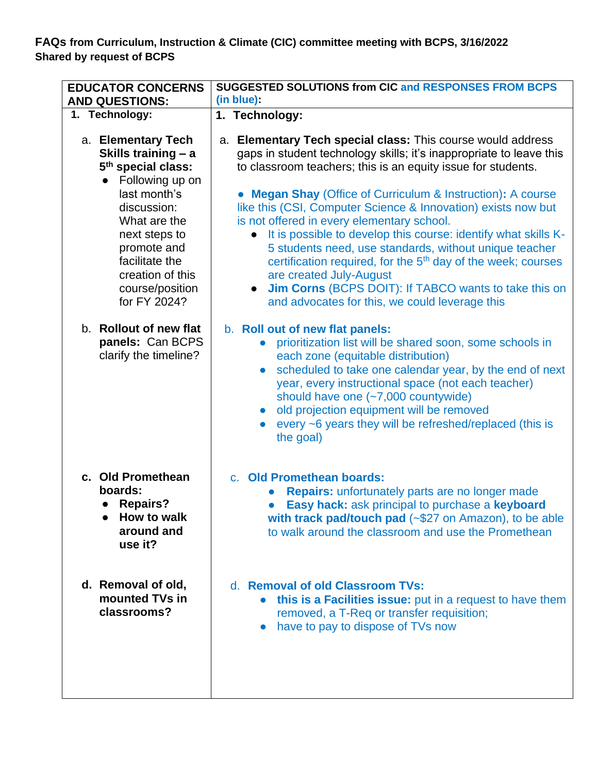**FAQs from Curriculum, Instruction & Climate (CIC) committee meeting with BCPS, 3/16/2022 Shared by request of BCPS**

| <b>EDUCATOR CONCERNS</b><br><b>AND QUESTIONS:</b>                                                                                                                                                                                                      | <b>SUGGESTED SOLUTIONS from CIC and RESPONSES FROM BCPS</b><br>(in blue):                                                                                                                                                                                                                                                                                                                                                                                                                                                                                                                                                                                                                                                                                                |
|--------------------------------------------------------------------------------------------------------------------------------------------------------------------------------------------------------------------------------------------------------|--------------------------------------------------------------------------------------------------------------------------------------------------------------------------------------------------------------------------------------------------------------------------------------------------------------------------------------------------------------------------------------------------------------------------------------------------------------------------------------------------------------------------------------------------------------------------------------------------------------------------------------------------------------------------------------------------------------------------------------------------------------------------|
| 1. Technology:                                                                                                                                                                                                                                         | 1. Technology:                                                                                                                                                                                                                                                                                                                                                                                                                                                                                                                                                                                                                                                                                                                                                           |
| a. Elementary Tech<br>Skills training - a<br>5 <sup>th</sup> special class:<br>Following up on<br>last month's<br>discussion:<br>What are the<br>next steps to<br>promote and<br>facilitate the<br>creation of this<br>course/position<br>for FY 2024? | a. Elementary Tech special class: This course would address<br>gaps in student technology skills; it's inappropriate to leave this<br>to classroom teachers; this is an equity issue for students.<br><b>Megan Shay (Office of Curriculum &amp; Instruction): A course</b><br>like this (CSI, Computer Science & Innovation) exists now but<br>is not offered in every elementary school.<br>It is possible to develop this course: identify what skills K-<br>$\bullet$<br>5 students need, use standards, without unique teacher<br>certification required, for the 5 <sup>th</sup> day of the week; courses<br>are created July-August<br><b>Jim Corns</b> (BCPS DOIT): If TABCO wants to take this on<br>$\bullet$<br>and advocates for this, we could leverage this |
| b. Rollout of new flat<br>panels: Can BCPS<br>clarify the timeline?                                                                                                                                                                                    | b. Roll out of new flat panels:<br>prioritization list will be shared soon, some schools in<br>each zone (equitable distribution)<br>scheduled to take one calendar year, by the end of next<br>$\bullet$<br>year, every instructional space (not each teacher)<br>should have one (~7,000 countywide)<br>old projection equipment will be removed<br>$\bullet$<br>every ~6 years they will be refreshed/replaced (this is<br>the goal)                                                                                                                                                                                                                                                                                                                                  |
| c. Old Promethean<br>boards:<br><b>Repairs?</b><br>How to walk<br>around and<br>use it?                                                                                                                                                                | c. Old Promethean boards:<br><b>Repairs:</b> unfortunately parts are no longer made<br>Easy hack: ask principal to purchase a keyboard<br>with track pad/touch pad (~\$27 on Amazon), to be able<br>to walk around the classroom and use the Promethean                                                                                                                                                                                                                                                                                                                                                                                                                                                                                                                  |
| d. Removal of old,<br>mounted TVs in<br>classrooms?                                                                                                                                                                                                    | d. Removal of old Classroom TVs:<br>this is a Facilities issue: put in a request to have them<br>$\bullet$<br>removed, a T-Req or transfer requisition;<br>have to pay to dispose of TVs now<br>$\bullet$                                                                                                                                                                                                                                                                                                                                                                                                                                                                                                                                                                |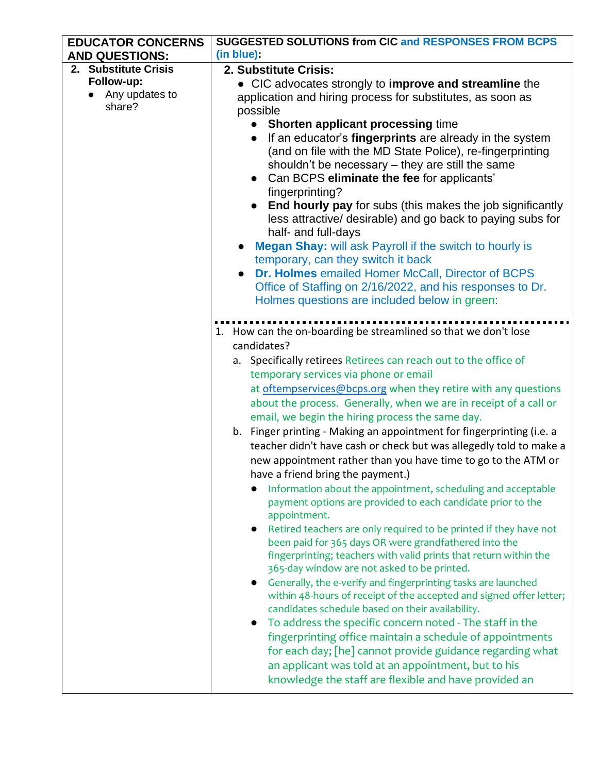| <b>EDUCATOR CONCERNS</b> | <b>SUGGESTED SOLUTIONS from CIC and RESPONSES FROM BCPS</b>                                                                |
|--------------------------|----------------------------------------------------------------------------------------------------------------------------|
| <b>AND QUESTIONS:</b>    | (in blue)                                                                                                                  |
| 2. Substitute Crisis     | 2. Substitute Crisis:                                                                                                      |
| Follow-up:               | • CIC advocates strongly to improve and streamline the                                                                     |
| Any updates to           | application and hiring process for substitutes, as soon as                                                                 |
| share?                   | possible                                                                                                                   |
|                          | <b>Shorten applicant processing time</b><br>$\bullet$                                                                      |
|                          | If an educator's fingerprints are already in the system<br>$\bullet$                                                       |
|                          | (and on file with the MD State Police), re-fingerprinting                                                                  |
|                          | shouldn't be necessary – they are still the same                                                                           |
|                          | Can BCPS eliminate the fee for applicants'<br>$\bullet$                                                                    |
|                          | fingerprinting?                                                                                                            |
|                          | <b>End hourly pay</b> for subs (this makes the job significantly                                                           |
|                          | less attractive/ desirable) and go back to paying subs for                                                                 |
|                          | half- and full-days                                                                                                        |
|                          | <b>Megan Shay:</b> will ask Payroll if the switch to hourly is                                                             |
|                          | temporary, can they switch it back                                                                                         |
|                          | Dr. Holmes emailed Homer McCall, Director of BCPS<br>$\bullet$                                                             |
|                          | Office of Staffing on 2/16/2022, and his responses to Dr.<br>Holmes questions are included below in green:                 |
|                          |                                                                                                                            |
|                          |                                                                                                                            |
|                          | 1. How can the on-boarding be streamlined so that we don't lose                                                            |
|                          | candidates?                                                                                                                |
|                          | a. Specifically retirees Retirees can reach out to the office of                                                           |
|                          | temporary services via phone or email                                                                                      |
|                          | at oftempservices@bcps.org when they retire with any questions                                                             |
|                          | about the process. Generally, when we are in receipt of a call or                                                          |
|                          | email, we begin the hiring process the same day.                                                                           |
|                          | b. Finger printing - Making an appointment for fingerprinting (i.e. a                                                      |
|                          | teacher didn't have cash or check but was allegedly told to make a                                                         |
|                          | new appointment rather than you have time to go to the ATM or                                                              |
|                          | have a friend bring the payment.)                                                                                          |
|                          | Information about the appointment, scheduling and acceptable                                                               |
|                          | payment options are provided to each candidate prior to the                                                                |
|                          | appointment.                                                                                                               |
|                          | Retired teachers are only required to be printed if they have not<br>$\bullet$                                             |
|                          | been paid for 365 days OR were grandfathered into the<br>fingerprinting; teachers with valid prints that return within the |
|                          | 365-day window are not asked to be printed.                                                                                |
|                          | Generally, the e-verify and fingerprinting tasks are launched                                                              |
|                          | within 48-hours of receipt of the accepted and signed offer letter;                                                        |
|                          | candidates schedule based on their availability.                                                                           |
|                          | To address the specific concern noted - The staff in the                                                                   |
|                          | fingerprinting office maintain a schedule of appointments                                                                  |
|                          | for each day; [he] cannot provide guidance regarding what                                                                  |
|                          | an applicant was told at an appointment, but to his                                                                        |
|                          | knowledge the staff are flexible and have provided an                                                                      |
|                          |                                                                                                                            |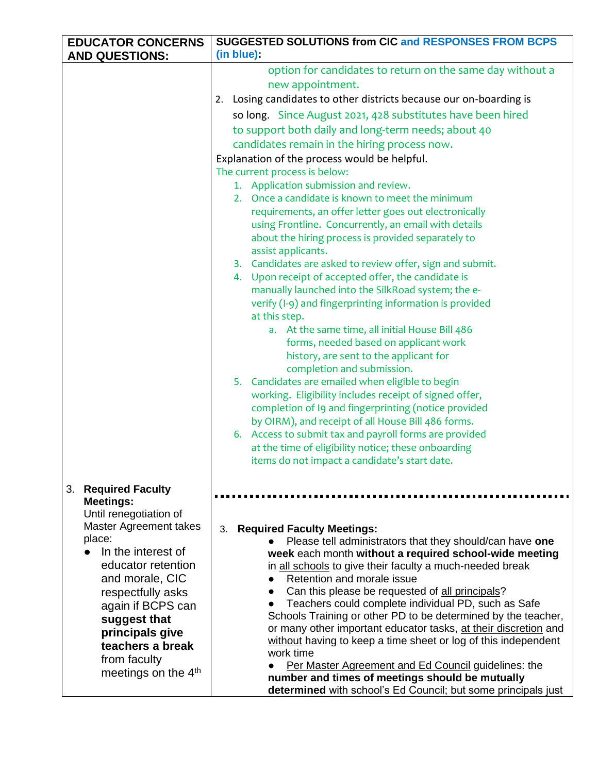| <b>EDUCATOR CONCERNS</b>                                                                                                                                                                                                                                                                                       | <b>SUGGESTED SOLUTIONS from CIC and RESPONSES FROM BCPS</b>                                                                                                                                                                                                                                                                                                                                                                                                                                                                                                                                                                                                                                                                                                                                                                                                                                                                                                                                                                                                                                                                                                                                                                                                                                                                                                                                                                                                                                                                     |
|----------------------------------------------------------------------------------------------------------------------------------------------------------------------------------------------------------------------------------------------------------------------------------------------------------------|---------------------------------------------------------------------------------------------------------------------------------------------------------------------------------------------------------------------------------------------------------------------------------------------------------------------------------------------------------------------------------------------------------------------------------------------------------------------------------------------------------------------------------------------------------------------------------------------------------------------------------------------------------------------------------------------------------------------------------------------------------------------------------------------------------------------------------------------------------------------------------------------------------------------------------------------------------------------------------------------------------------------------------------------------------------------------------------------------------------------------------------------------------------------------------------------------------------------------------------------------------------------------------------------------------------------------------------------------------------------------------------------------------------------------------------------------------------------------------------------------------------------------------|
| <b>AND QUESTIONS:</b>                                                                                                                                                                                                                                                                                          | (in blue)                                                                                                                                                                                                                                                                                                                                                                                                                                                                                                                                                                                                                                                                                                                                                                                                                                                                                                                                                                                                                                                                                                                                                                                                                                                                                                                                                                                                                                                                                                                       |
|                                                                                                                                                                                                                                                                                                                | option for candidates to return on the same day without a<br>new appointment.<br>Losing candidates to other districts because our on-boarding is<br>2.<br>so long. Since August 2021, 428 substitutes have been hired<br>to support both daily and long-term needs; about 40<br>candidates remain in the hiring process now.<br>Explanation of the process would be helpful.<br>The current process is below:<br>1. Application submission and review.<br>2. Once a candidate is known to meet the minimum<br>requirements, an offer letter goes out electronically<br>using Frontline. Concurrently, an email with details<br>about the hiring process is provided separately to<br>assist applicants.<br>3. Candidates are asked to review offer, sign and submit.<br>4. Upon receipt of accepted offer, the candidate is<br>manually launched into the SilkRoad system; the e-<br>verify (I-9) and fingerprinting information is provided<br>at this step.<br>a. At the same time, all initial House Bill 486<br>forms, needed based on applicant work<br>history, are sent to the applicant for<br>completion and submission.<br>5. Candidates are emailed when eligible to begin<br>working. Eligibility includes receipt of signed offer,<br>completion of I9 and fingerprinting (notice provided<br>by OIRM), and receipt of all House Bill 486 forms.<br>6. Access to submit tax and payroll forms are provided<br>at the time of eligibility notice; these onboarding<br>items do not impact a candidate's start date. |
| 3. Required Faculty<br><b>Meetings:</b><br>Until renegotiation of<br>Master Agreement takes<br>place:<br>In the interest of<br>educator retention<br>and morale, CIC<br>respectfully asks<br>again if BCPS can<br>suggest that<br>principals give<br>teachers a break<br>from faculty<br>meetings on the $4th$ | <b>Required Faculty Meetings:</b><br>3.<br>Please tell administrators that they should/can have one<br>week each month without a required school-wide meeting<br>in all schools to give their faculty a much-needed break<br>Retention and morale issue<br>Can this please be requested of all principals?<br>Teachers could complete individual PD, such as Safe<br>Schools Training or other PD to be determined by the teacher,<br>or many other important educator tasks, at their discretion and<br>without having to keep a time sheet or log of this independent<br>work time<br>Per Master Agreement and Ed Council guidelines: the<br>number and times of meetings should be mutually<br>determined with school's Ed Council; but some principals just                                                                                                                                                                                                                                                                                                                                                                                                                                                                                                                                                                                                                                                                                                                                                                 |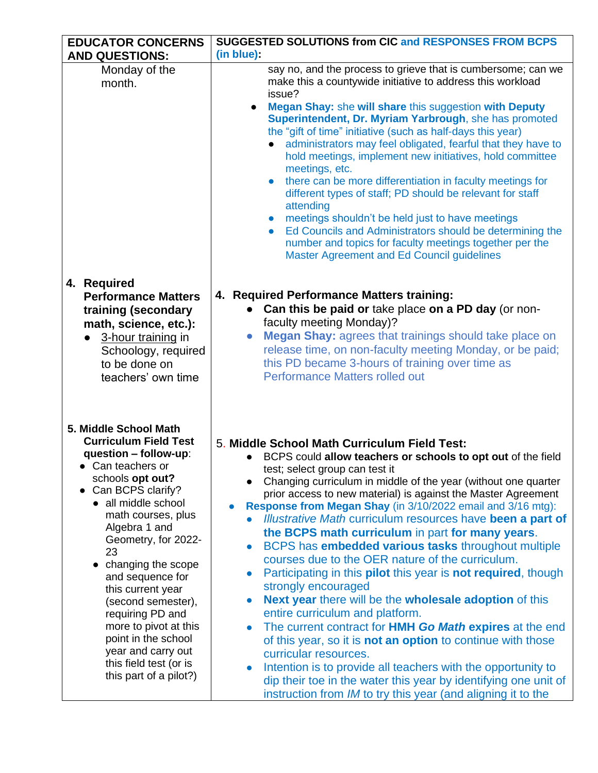| <b>EDUCATOR CONCERNS</b>                                                                                                                                                                                                                                                                                                                                                                                                                                                       | <b>SUGGESTED SOLUTIONS from CIC and RESPONSES FROM BCPS</b>                                                                                                                                                                                                                                                                                                                                                                                                                                                                                                                                                                                                                                                                                                                                                                                                                                                                                                                                                                                                                                                                                                                                         |
|--------------------------------------------------------------------------------------------------------------------------------------------------------------------------------------------------------------------------------------------------------------------------------------------------------------------------------------------------------------------------------------------------------------------------------------------------------------------------------|-----------------------------------------------------------------------------------------------------------------------------------------------------------------------------------------------------------------------------------------------------------------------------------------------------------------------------------------------------------------------------------------------------------------------------------------------------------------------------------------------------------------------------------------------------------------------------------------------------------------------------------------------------------------------------------------------------------------------------------------------------------------------------------------------------------------------------------------------------------------------------------------------------------------------------------------------------------------------------------------------------------------------------------------------------------------------------------------------------------------------------------------------------------------------------------------------------|
| <b>AND QUESTIONS:</b>                                                                                                                                                                                                                                                                                                                                                                                                                                                          | (in blue)                                                                                                                                                                                                                                                                                                                                                                                                                                                                                                                                                                                                                                                                                                                                                                                                                                                                                                                                                                                                                                                                                                                                                                                           |
| Monday of the<br>month.                                                                                                                                                                                                                                                                                                                                                                                                                                                        | say no, and the process to grieve that is cumbersome; can we<br>make this a countywide initiative to address this workload<br>issue?<br>Megan Shay: she will share this suggestion with Deputy<br>$\bullet$<br>Superintendent, Dr. Myriam Yarbrough, she has promoted<br>the "gift of time" initiative (such as half-days this year)<br>administrators may feel obligated, fearful that they have to<br>hold meetings, implement new initiatives, hold committee<br>meetings, etc.<br>there can be more differentiation in faculty meetings for<br>different types of staff; PD should be relevant for staff<br>attending<br>meetings shouldn't be held just to have meetings<br>Ed Councils and Administrators should be determining the<br>$\bullet$<br>number and topics for faculty meetings together per the<br>Master Agreement and Ed Council guidelines                                                                                                                                                                                                                                                                                                                                     |
| 4. Required<br><b>Performance Matters</b><br>training (secondary<br>math, science, etc.):<br>3-hour training in<br>$\bullet$<br>Schoology, required<br>to be done on<br>teachers' own time                                                                                                                                                                                                                                                                                     | 4. Required Performance Matters training:<br>• Can this be paid or take place on a PD day (or non-<br>faculty meeting Monday)?<br><b>Megan Shay:</b> agrees that trainings should take place on<br>$\bullet$<br>release time, on non-faculty meeting Monday, or be paid;<br>this PD became 3-hours of training over time as<br><b>Performance Matters rolled out</b>                                                                                                                                                                                                                                                                                                                                                                                                                                                                                                                                                                                                                                                                                                                                                                                                                                |
| 5. Middle School Math<br><b>Curriculum Field Test</b><br>question - follow-up:<br>• Can teachers or<br>schools opt out?<br>• Can BCPS clarify?<br>• all middle school<br>math courses, plus<br>Algebra 1 and<br>Geometry, for 2022-<br>23<br>• changing the scope<br>and sequence for<br>this current year<br>(second semester),<br>requiring PD and<br>more to pivot at this<br>point in the school<br>year and carry out<br>this field test (or is<br>this part of a pilot?) | 5. Middle School Math Curriculum Field Test:<br>BCPS could allow teachers or schools to opt out of the field<br>test; select group can test it<br>Changing curriculum in middle of the year (without one quarter<br>prior access to new material) is against the Master Agreement<br>Response from Megan Shay (in 3/10/2022 email and 3/16 mtg):<br>Illustrative Math curriculum resources have been a part of<br>the BCPS math curriculum in part for many years.<br>BCPS has embedded various tasks throughout multiple<br>$\bullet$<br>courses due to the OER nature of the curriculum.<br>Participating in this <b>pilot</b> this year is <b>not required</b> , though<br>$\bullet$<br>strongly encouraged<br><b>Next year there will be the wholesale adoption of this</b><br>$\bullet$<br>entire curriculum and platform.<br>The current contract for HMH Go Math expires at the end<br>of this year, so it is <b>not an option</b> to continue with those<br>curricular resources.<br>Intention is to provide all teachers with the opportunity to<br>dip their toe in the water this year by identifying one unit of<br>instruction from <i>IM</i> to try this year (and aligning it to the |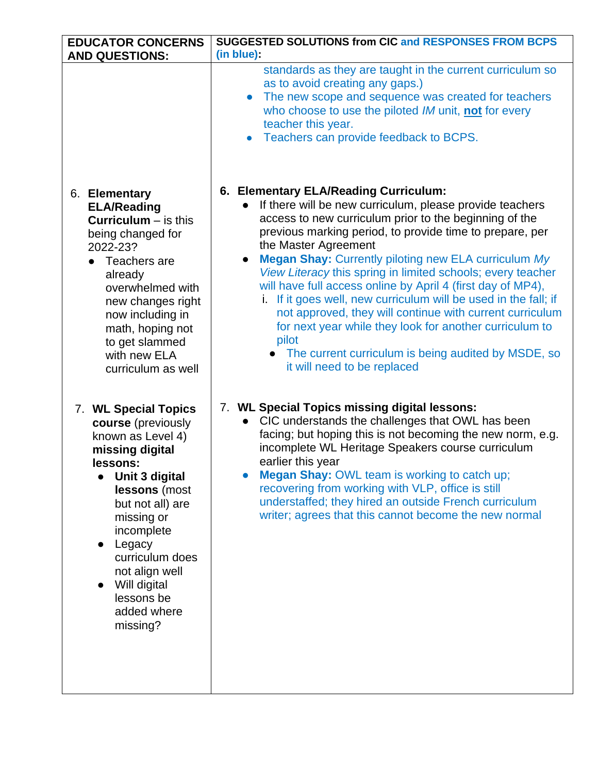| <b>EDUCATOR CONCERNS</b>                                                                                                                                                                                                                                                                                            | <b>SUGGESTED SOLUTIONS from CIC and RESPONSES FROM BCPS</b>                                                                                                                                                                                                                                                                                                                                                                                                                   |
|---------------------------------------------------------------------------------------------------------------------------------------------------------------------------------------------------------------------------------------------------------------------------------------------------------------------|-------------------------------------------------------------------------------------------------------------------------------------------------------------------------------------------------------------------------------------------------------------------------------------------------------------------------------------------------------------------------------------------------------------------------------------------------------------------------------|
| <b>AND QUESTIONS:</b>                                                                                                                                                                                                                                                                                               | (in blue):                                                                                                                                                                                                                                                                                                                                                                                                                                                                    |
|                                                                                                                                                                                                                                                                                                                     | standards as they are taught in the current curriculum so<br>as to avoid creating any gaps.)<br>The new scope and sequence was created for teachers<br>$\bullet$<br>who choose to use the piloted IM unit, not for every<br>teacher this year.<br>Teachers can provide feedback to BCPS.                                                                                                                                                                                      |
| 6. Elementary                                                                                                                                                                                                                                                                                                       | 6. Elementary ELA/Reading Curriculum:                                                                                                                                                                                                                                                                                                                                                                                                                                         |
| <b>ELA/Reading</b>                                                                                                                                                                                                                                                                                                  | If there will be new curriculum, please provide teachers                                                                                                                                                                                                                                                                                                                                                                                                                      |
| <b>Curriculum</b> $-$ is this                                                                                                                                                                                                                                                                                       | access to new curriculum prior to the beginning of the                                                                                                                                                                                                                                                                                                                                                                                                                        |
| being changed for                                                                                                                                                                                                                                                                                                   | previous marking period, to provide time to prepare, per                                                                                                                                                                                                                                                                                                                                                                                                                      |
| 2022-23?                                                                                                                                                                                                                                                                                                            | the Master Agreement                                                                                                                                                                                                                                                                                                                                                                                                                                                          |
| Teachers are                                                                                                                                                                                                                                                                                                        | Megan Shay: Currently piloting new ELA curriculum My                                                                                                                                                                                                                                                                                                                                                                                                                          |
| already                                                                                                                                                                                                                                                                                                             | View Literacy this spring in limited schools; every teacher                                                                                                                                                                                                                                                                                                                                                                                                                   |
| overwhelmed with                                                                                                                                                                                                                                                                                                    | will have full access online by April 4 (first day of MP4),                                                                                                                                                                                                                                                                                                                                                                                                                   |
| new changes right                                                                                                                                                                                                                                                                                                   | i. If it goes well, new curriculum will be used in the fall; if                                                                                                                                                                                                                                                                                                                                                                                                               |
| now including in                                                                                                                                                                                                                                                                                                    | not approved, they will continue with current curriculum                                                                                                                                                                                                                                                                                                                                                                                                                      |
| math, hoping not                                                                                                                                                                                                                                                                                                    | for next year while they look for another curriculum to                                                                                                                                                                                                                                                                                                                                                                                                                       |
| to get slammed                                                                                                                                                                                                                                                                                                      | pilot                                                                                                                                                                                                                                                                                                                                                                                                                                                                         |
| with new ELA                                                                                                                                                                                                                                                                                                        | • The current curriculum is being audited by MSDE, so                                                                                                                                                                                                                                                                                                                                                                                                                         |
| curriculum as well                                                                                                                                                                                                                                                                                                  | it will need to be replaced                                                                                                                                                                                                                                                                                                                                                                                                                                                   |
| 7. WL Special Topics<br>course (previously<br>known as Level 4)<br>missing digital<br>lessons:<br>Unit 3 digital<br>lessons (most<br>but not all) are<br>missing or<br>incomplete<br>Legacy<br>$\bullet$<br>curriculum does<br>not align well<br>Will digital<br>$\bullet$<br>lessons be<br>added where<br>missing? | 7. WL Special Topics missing digital lessons:<br>CIC understands the challenges that OWL has been<br>$\bullet$<br>facing; but hoping this is not becoming the new norm, e.g.<br>incomplete WL Heritage Speakers course curriculum<br>earlier this year<br>Megan Shay: OWL team is working to catch up;<br>recovering from working with VLP, office is still<br>understaffed; they hired an outside French curriculum<br>writer; agrees that this cannot become the new normal |